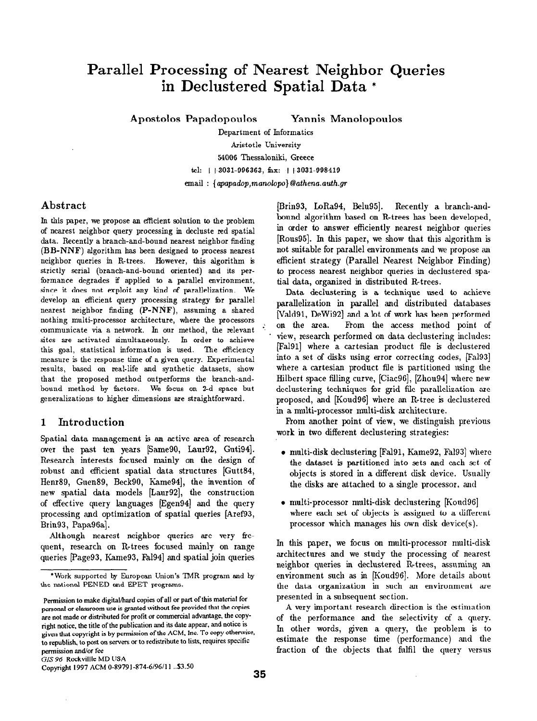# Parallel Processing of Nearest Neighbor Queries in Declustered Spatial Data \*

Apostolos Papadopoulos Yannis Manolopoulos

Department of Informatics Aristotle University 54006 Thessaloniki, Greece

tel:  $++3031-996363$ , fax:  $++3031-998419$ 

email : { apapadop,manolopo} @athena.auth.gr

# Abstract

In this paper, we propose an efficient solution to the problem of nearest neighbor query processing in decluste red spatial data. Recently a branch-and-bound nearest neighbor finding (BB-NNF) algorithm has been designed to process nearest neighbor queries in R-trees. However, this algorithm is strictly serial (branch-and-bound oriented) and its performance degrades if applied to a parallel environment, since it does not exploit any kind of parallelization. We develop an efficient query processing strategy for parallel nearest neighbor finding (P-NNF), assuming a shared nothing multi-processor architecture, where the processors i communicate via a network. In our method, the relevant sites are activated simultaneously. In order to achieve this goal, statistical information is used. The efficiency mcasure is the response time of a given query. Experimental results, based on real-life and synthetic datasets, show that the proposed method outperforms the branch-andbound method by factors. We focus on Zd space but generalizations to higher dimensions are straightforward.

# 1 Introduction

Spatial data management is an active area of research over the past ten years [SameSO, Laur92, Guti94]. Research interests focused mainly on the design of robust and efficient spatial data structures [Gutt84, Henr89, Guen89, Beck90, Kame94], the invention of new spatial data models [Laur92], the construction of effective query languages [Egen94] and the query processing and optimization of spatial queries [Aref93, Brin93, Papa96a].

Although nearest neighbor queries are very fiequent, research on R-trees focused mainly on range queries [Page93, Kame93, Fal94] and spatial join queries

GIS 96 Rockvillle MD USA

Copyright 1997 ACM 0-89791-874-6/96/11 ..\$3.50

[Brin93, LoRa94, Belu95]. Recently a branch-andbound algorithm based on R-trees has been developed, in order to answer efficiently nearest neighbor queries [Rous95]. In this paper, we show that this algorithm is not suitable for parallel environments and we propose an efficient strategy (Parallel Nearest Neighbor Finding) to process nearest neighbor queries in declustered spatial data, organized in distributed R-trees.

Data declustering is a technique used to achieve parallelization in parallel and distributed databases [Vald91, DeWi92] and a lot of work has been performed on the area. From the access method point of view, research performed on data declustering includes: [Fal91] where a cartesian product file is declustered into a set of disks using error correcting codes, [Fal93] where a cartesian product fle is partitioned using the Hilbert space filling curve, [Ciac96], [Zhou94] where new declustering techniques for grid file parallclizatiou are proposed, and [Koud96] where an R-tree is declustered in a multi-processor multi-disk architecture.

From another point of view, we distinguish previous work in two different declustering strategies:

- multi-disk declustering [Fal91, Kame92, Fal93] where the dataset is partitioned into sets and each set of objects is stored in a different disk device. Usually the disks are attached to a single processor, and
- $\bullet$  multi-processor multi-disk declustering [Koud96] where each set of objects is assigned to a different processor which manages his own disk device(s).

In this paper, we focus on multi-processor multi-disk architectures and we study the processing of nearest neighbor queries in declustered R-trees, assuming an environment such as in [Koud96]. More details about the data organization in such an environment are presented in a subsequent section.

A very important research direction is the estimation of the performance and the selectivity of a query. In other words, given a query, the problem is to estimate the response time (performance) and the fraction of the objects that fulfil the query versus

<sup>&#</sup>x27;Work supported by European Union's TMR program and by the national PENED and EPET programs.

permission to make digital/hard copies of all or part of this material for personal or classroom use is granted without fee provided that the copies are not made or distributed for profit or commercial advantage, the copyright notice, the title of the publication and its date appear, and notice is given that copyright is by permission of the ACM, Inc. To copy otherwise, to republish, to post on servers or to redistribute to lists, requires specific permission and/or fee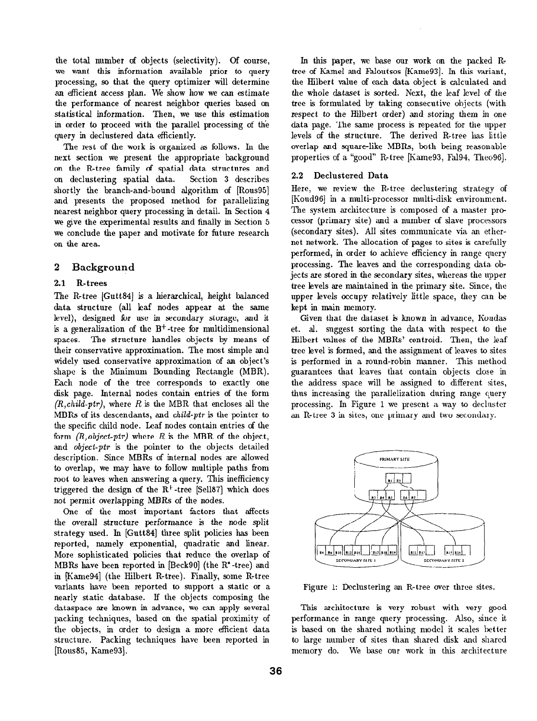the total number of objects (selectivity). Of course, we want this information available prior to query processing, so that the query optimizer will determine an efficient access plan. We show how we can estimate the performance of nearest neighbor queries based on statistical information. Then, we use this estimation in order to proceed with the parallel processing of the query in declustered data efficiently.

The rest of the work is organized as follows. In the next section we present the appropriate background on the R-tree family of spatial data structures and on declustering spatial data. Section 3 describes shortly the branch-and-bound algorithm of [Rous95] and presents the proposed method for parallelizing nearest neighbor query processing in detail. In Section 4 we give the experimental results and finally in Section 5 we conclude the paper and motivate for future research on the area.

# 2 Background

#### 2.1 R-trees

The R-tree [Gutt84] is a hierarchical, height balanced data structure (all leaf nodes appear at the same level), designed for use in secondary storage, and it is a generalization of the  $B<sup>+</sup>$ -tree for multidimensional spaces. The structure handles objects by means of their conservative approximation. The most simple and widely used conservative approximation of an object's shape is the Minimum Bounding Rectangle (MBR). Each node of the tree corresponds to exactly one disk page. Internal nodes contain entries of the form  $(R,child\text{-}ptr)$ , where R is the MBR that encloses all the MBRs of its descendants, and  $child\text{-}ptr$  is the pointer to the specific child node. Leaf nodes contain entries of the form  $(R, object\text{-}ptr)$  where  $R$  is the MBR of the object, and *object-ptr* is the pointer to the objects detailed description. Since MBRs of internal nodes are allowed to overlap, we may have to follow multiple paths from root to leaves when answering a query. This inefficiency triggered the design of the  $R^+$ -tree [Sell87] which does not permit overlapping MBRs of the nodes.

One of the most important factors that affects the overall structure Performance is the node split strategy used. In [Gutt84] three split policies has been reported, namely exponential, quadratic and linear. More sophisticated policies that reduce the overlap of MBRs have been reported in  $[Beck90]$  (the R<sup>\*</sup>-tree) and in [Kame94] (the Hilbert R-tree). Finally, some R-tree variants have been reported to support a static or a nearly static database. If the objects composing the dataspace are known in advance, we can apply several packing techniques, based on the spatial proximity of the objects, in order to design a more efficient data structure. Packing techniques have been reported in  $[Rous85, Kame93].$ 

In this paper, we base our work on the packed R tree of Kamel and Faloutsos [Kame93]. In this variant, the Hilbert value of each data object is calculated and the whole dataset is sorted. Next, the leaf level of the tree is formulated by taking consecutive objects (with respect to the Hilbert order) and storing them in one data page. The same process is repeated for the upper levels of the structure. The derived R-tree has little overlap and square-like MBRs, both being reasonable properties of a "good" R-tree [Kame93, Fal94, Theo96].

#### 2.2 Declustered Data

Here, we review the R-tree declustering strategy of [Koud96] in a multi-processor multi-disk environment. The system architecture is composed of a master processor (primary site) and a number of slave processors (secondary sites). All sites communicate via an ethernet network. The allocation of pages to sites is carefully performed, in order to achieve efficiency in range query processing. The leaves and the corresponding data. objects are stored in the secondary sites, whereas the upper tree levels are maintained in the primary site. Since, the upper levels occupy rclativcly little space, they can be kept in main memory.

Given that the dataset is known in advance, Koudas et. al. suggest sorting the data with respect to the Hilbert values of the MBRs' centroid. Then, the leaf tree level is formed, and the assignment of leaves to sites is performed in a round-robin manner. This method guarantees that leaves that contain objects close in the address space will be assigned to different sites, thus incrensing the parallelization during range query processing. In Figure 1 we present a way to decluster an R-tree 3 in sites, one primary and two secondary.



Figure 1: Declustering an R-tree over three sites.

This architecture is very robust with very good performance in range query processing. Also, since it is based on the shared nothing model it scales better to large number of sites than shared disk and shared memory do. We base our work in this architecture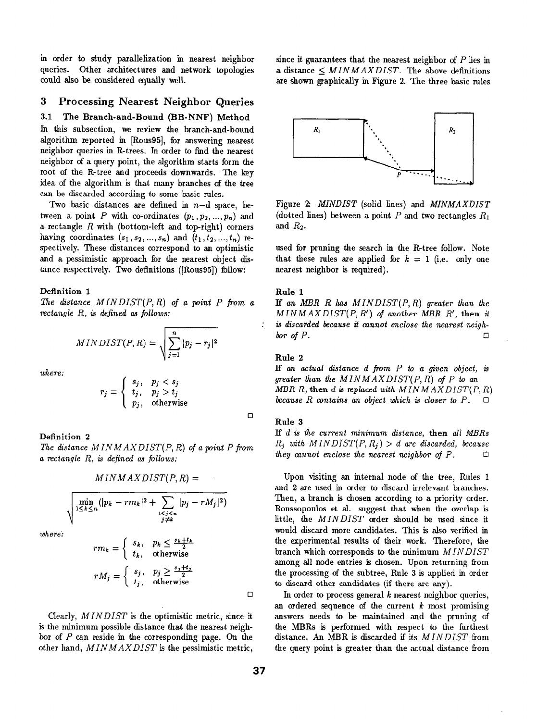in order to study parallelization in nearest neighbor queries. Other architectures and network topologies could also be considered equally well.

# 3 Processing Nearest Neighbor Queries

3.1 The Branch-and-Bound (BB-NNF) Method ln this subsection, we review the branch-and-bound algorithm reported in [Rous95], for answering nearest neighbor queries in R-trees. ln order to find the nearest neighbor of a query point, the algorithm starts form the root of the R-tree and proceeds downwards. The key idea of the algorithm is that many branches of the tree can be discarded according to some basic rules.

Two basic distances are defined in  $n-d$  space, between a point P with co-ordinates  $(p_1, p_2, ..., p_n)$  and a rectangle  $R$  with (bottom-left and top-right) corners having coordinates  $(s_1, s_2, ..., s_n)$  and  $(t_1, t_2, ..., t_n)$  respectively. These distances correspond to an optimistic and a pessimistic approach for the nearest object distance respectively. Two definitions ([Rous95]) follow:

#### Definition 1

The distance  $MINDIST(P, R)$  of a point P from a rectangle  $R$ , is defined as follows:

$$
MINDIST(P, R) = \sqrt{\sum_{j=1}^{n} |p_j - r_j|^2}
$$

where:

$$
r_j = \begin{cases} s_j, & p_j < s_j \\ t_j, & p_j > t_j \\ p_j, & \text{otherwise} \end{cases}
$$

Definition 2

The distance  $MINMAXDIST(P, R)$  of a point P from a rectangle R, is defined as follows:

$$
MINMAXDIST(P, R) =
$$
  

$$
\frac{\min_{1 \leq k \leq n} (|p_k - rm_k|^2 + \sum_{\substack{1 \leq j \leq n \\ j \neq k}} |p_j - rM_j|^2)}{p_j}
$$

where:

$$
rm_k = \begin{cases} s_k, & p_k \leq \frac{s_k + t_k}{2} \\ t_k, & \text{otherwise} \end{cases}
$$

$$
rM_j = \begin{cases} s_j, & p_j \geq \frac{s_j + t_j}{2} \\ t_j, & \text{otherwise} \end{cases}
$$

Clearly,  $MINDIST$  is the optimistic metric, since it is the minimum possible distance that the nearest neighbor of  $P$  can reside in the corresponding page. On the other hand, MINMAXDIST is the pessimistic metric, since it guarantees that the nearest neighbor of  $P$  lies in a distance  $\leq MINMAXDIST$ . The above definitions are shown graphically in Figure 2. The three basic rules



Figure 2: MINDIST (solid lines) and MINMAXDIST (dotted lines) between a point P and two rectangles  $R_1$ and  $R_2$ .

used br pruning the search in the R-tree follow. Note that these rules are applied for  $k = 1$  (i.e. only one nearest neighbor is required).

#### Rule 1

 $\ddot{\cdot}$ 

 $\Box$ 

If an MBR R has  $MINDIST(P, R)$  greater than the  $MINMAXDIST(P, R')$  of another MBR R', then it is discarded because it cannot enclose the nearest neighbor of  $P$ .

# Rule 2

If an actual distance  $d$  from  $P$  to  $a$  given object, is greater than the MINMAXDIST( $P, R$ ) of P to an MBR R, then d is replaced with  $MINMAXDIST(P, R)$ because R contains an object which is closer to  $P$ .

#### Rule 3

If d is the current minimum distance, then all MBRs  $R_i$  with MINDIST(P,  $R_i$ ) > d are discarded, because they cannot enclose the nearest neighbor of  $P$ .

Upon visiting an internal node of the tree, Rules 1 and 2 are used in order to discard irrelevant branches. Then, a branch is chosen according to a priority order. Roussopoulos et al. suggest that when the overlap is little, the MINDIST order should be used since it would discard more candidates. This is also verified in the experimental results of their work. Therefore, the branch which corresponds to the minimum MIMDIST among all node entries is chosen. Upon returning from the processing of the subtree, Rule 3 is applied in order to discard other candidates (if there are any).

In order to process general  $k$  nearest neighbor queries, an ordered sequence of the current  $k$  most promising answers needs to be maintained and the pruning of the MBRs is performed with respect to the furthest distance. An MBR is discarded if its  $MINDIST$  from the query point is greater than the actual distance from

 $\Box$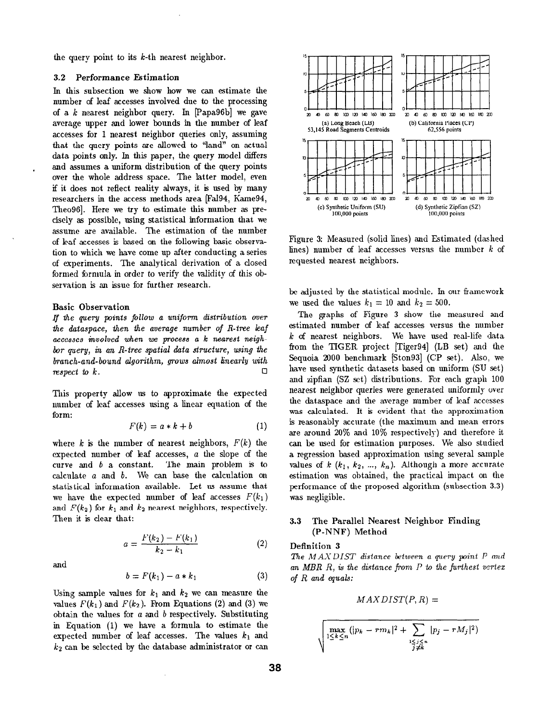the query point to its  $k$ -th nearest neighbor.

#### 3.2 Performance Estimation

In this subsection we show how we can estimate the number of leaf accesses involved due to the processing of a  $k$  nearest neighbor query. In [Papa96b] we gave average upper and lower bounds in the number of leaf accesses for 1 nearest neighbor queries only, assuming that the query points are allowed to 'land" on actual data points only. In this paper, the query model differs and assumes a uniform distribution of the query points over the whole address space. The latter model, even if it does not reflect reality always, it is used by many researchers in the access methods area Fal94, Kame94, Theo96]. Here we try to estimate this number as precisely as possible, using statistical information that we assume are available. The estimation of the number of leaf accesses is based on the following basic observation to which we have come up after conducting a series of experiments. The analytical derivation of a closed formed fbrmula in order to verify the validity of this observation is an issue for further research.

#### Basic Observation

If the query points follow a uniform distribution over the dataspace, then the average number of R-tree kaf accesses involved when we process a k nearest neighbor query, in an  $R$ -tree spatial data structure, using the branch-and-bound algorithm, grows almost linearly with respect to  $k$ .

This property allow us to approximate the expected number of leaf accesses using a linear equation of the form:

$$
F(k) = a * k + b \tag{1}
$$

where k is the number of nearest neighbors,  $F(k)$  the expected number of leaf accesses,  $a$  the slope of the curve and  $b$  a constant. The main problem is to calculate a and b. We can base the calculation on statistical information available. Let us assume that we have the expected number of leaf accesses  $F(k_1)$ and  $F(k_2)$  for  $k_1$  and  $k_2$  nearest neighbors, respectively. Then it is clear that:

$$
a = \frac{F(k_2) - F(k_1)}{k_2 - k_1} \tag{2}
$$

and

$$
b = F(k_1) - a * k_1 \tag{3}
$$

Using sample values for  $k_1$  and  $k_2$  we can measure the values  $F(k_1)$  and  $F(k_2)$ . From Equations (2) and (3) we obtain the values for  $a$  and  $b$  respectively. Substituting in Equation (1) we have a formula to estimate the expected number of leaf accesses. The values  $k_1$  and  $k_2$  can be selected by the database administrator or can



Figure 3: Measured (solid lines) and Estimated (dashed lines) number of leaf accesses versus the number  $k$  of requested nearest neighbors.

be adjusted by the statistical module. In our framework we used the values  $k_1 = 10$  and  $k_2 = 500$ .

The graphs of Figure 3 show the measured and estimated number of leaf accesses versus the number  $k$  of nearest neighbors. We have used real-life data from the TIGER project [Tiger94] (LB set) and the Sequoia 2000 benchmark [Ston93] (CP set). Also, we have used synthetic datasets based on uniform (SU set) and zipfian (SZ set) distributions. For each graph 100 nearest neighbor queries were generated uniformly over the dataspace and the average number of leaf accesses was calculated. It is evident that the approximation is reasonably accurate (the maximum and mean errors are around 20% and 10% respectively) and therefore it can be used for estimation purposes. We also studied a regression based approximation using several sample values of  $k$   $(k_1, k_2, ..., k_n)$ . Although a more accurate estimation was obtained, the practical impact on the performance of the proposed algorithm (subsection 3.3) was negligible.

#### 3.3 The Parallel Nearest Neighbor Finding (P-NNF) Method

#### Definition 3

The  $MAXDIST$  distance between a query point  $P$  and an MBR  $R$ , is the distance from  $P$  to the furthest vertex of  $R$  and equals:

$$
MAXDIST(P, R) =
$$

$$
\sqrt{\max_{1 \leq k \leq n} (|p_k - rm_k|^2 + \sum_{\substack{1 \leq j \leq n \\ j \neq k}} |p_j - rM_j|^2)}
$$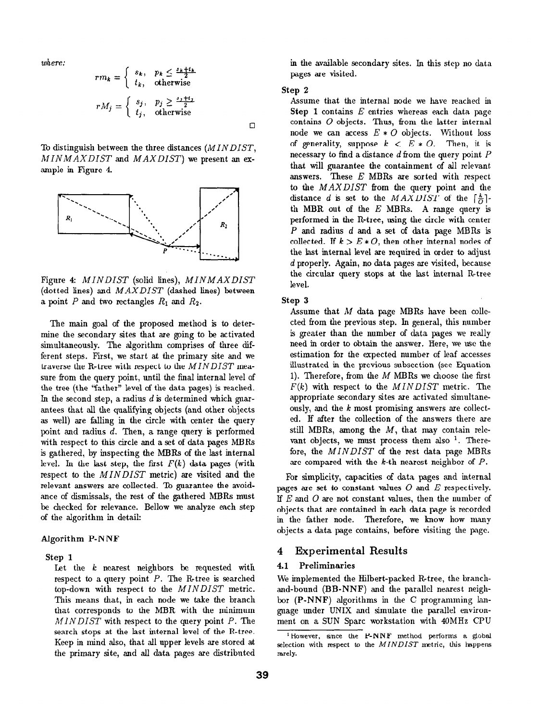where:

$$
rm_k = \begin{cases} s_k, & p_k \leq \frac{s_k + t_k}{2} \\ t_k, & \text{otherwise} \end{cases}
$$

$$
rM_j = \begin{cases} s_j, & p_j \geq \frac{s_j + t_j}{2} \\ t_j, & \text{otherwise} \end{cases}
$$

To distinguish between the three distances (MINDIST, MINMAXDIST and MAXDIST) we present an example in Figure 4.



Figure 4: MINDIST (solid lines), MINMAXDIST (dotted lines) and  $MAXDIST$  (dashed lines) between a point  $P$  and two rectangles  $R_1$  and  $R_2$ .

The main goal of the proposed method is to determine the secondary sites that are going to be activated simultaneously. The algorithm comprises of three different steps. First, we start at the primary site and we traverse the R-tree with respect to the MINDIST measure from the query point, until the final internal level of the tree (the "father" level of the data pages) is reached. In the second step, a radius  $d$  is determined which guarantees that all the qualifying objects (and other objects as well) are falling in the circle with center the query point and radius  $d$ . Then, a range query is performed with respect to this circle and a set of data pages MBRs. is gathered, by inspecting the MBRs of the last internal level. In the last step, the first  $F(k)$  data pages (with respect to the MINDIST metric) are visited and the relevant answers are collected. To guarantee the avoidance of dismissals, the rest of the gathered MBRs must be checked for relevance. Bellow we analyze each step of the algorithm in detail:

#### Algorithm P-NNF

Step 1

Let the  $k$  nearest neighbors be requested with respect to a query point  $P$ . The R-tree is searched top-down with respect to the MINDIST metric. This means that, in each node we take the branch that corresponds to the MBR with the minimum MINDIST with respect to the query point P. The search stops at the last internal level of the R-tree. Keep in mind also, that all upper levels are stored at the primary site, and all data pages are distributed in the available secondary sites. In this step no data pages are visited.

### Step 2

 $\Box$ 

Assume that the internal node we have reached iu Step 1 contains  $E$  entries whereas each data page contains  $O$  objects. Thus, from the latter internal node we can access  $E * O$  objects. Without loss of generality, suppose  $k \leq E * O$ . Then, it is necessary to find a distance  $d$  from the query point  $P$ that will guarantee the containment of all relevant. answers. These  $E$  MBRs are sorted with respect to the MAXDIST from the query point and the distance d is set to the MAXDIST of the  $\lceil \frac{k}{0} \rceil$ th MBR out of the  $E$  MBRs. A range query is performed in the R-tree, using the circle with center P and radius d and a set of data page MBRs is collected. If  $k > E * O$ , then other internal nodes of the last internal level are required in order to adjust d properly. Again, no data pages are visited, because the circular query stops at the last internal R-tree level.

#### Step 3

Assume that  $M$  data page MBRs have been collected from the previous step. In general, this number is greater than the number of data pages we really need in order to obtain the answer. Here, we use the estimation for the expected number of leaf accesses illustrated iu the previous subsection (see Equation 1). Therefore, from the  $M$  MBRs we choose the first  $F(k)$  with respect to the MINDIST metric. The appropriate secondary sites are activated simultaneously, and the  $k$  most promising answers are collected. If after the collection of the answers there are still MBRs, among the  $M$ , that may contain relevant objects, we must process them also <sup>1</sup>. Therefore, the MINDIST of the rest data page MBRs are compared with the  $k$ -th nearest neighbor of  $P$ .

For simplicity, capacities of data pages and internal pages are set to constant values  $O$  and  $E$  respectively. If  $E$  and  $O$  are not constant values, then the number of objects that are contained in each data page is recorded in the father node. Therefore, we know how many objects a data page contains, before visiting the page.

# 4 Experimental Results

#### 4.1 Preliminaries

We implemented the Hilbert-packed R-tree, the branchand-bound (BB-NNF) and the parallel nearest neighbor (P-NNF) algorithms in the C programming language under UNIX and simulate the parallel environment on a SUN Spare workstation with 4OMHz CPU

 $1$  However, since the P-NNF method performs a global selection with respect to the MINDIST metric, this happens rarely.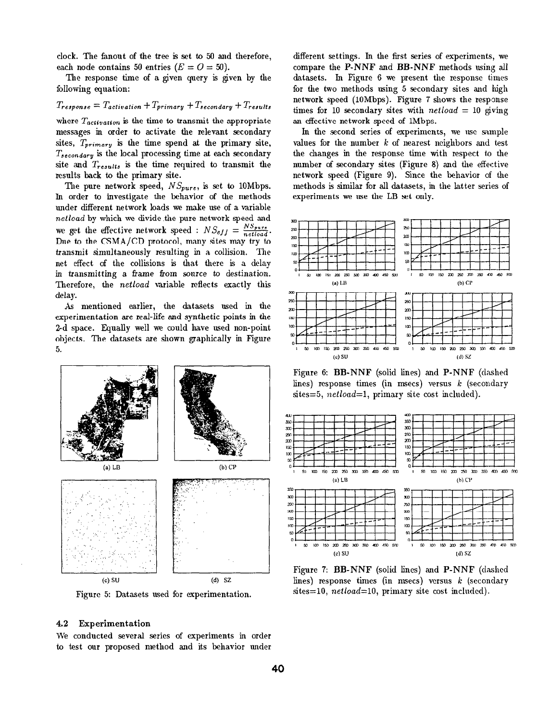clock. The fanout of the tree is set to 50 and therefore, each node contains 50 entries  $(E = 0 = 50)$ .

The response time of a given query is given by the following equation:

# $T_{response} = T_{activation} + T_{primary} + T_{secondary} + T_{results}$

where  $T_{activation}$  is the time to transmit the appropriate messages in order to activate the relevant secondary sites,  $T_{primary}$  is the time spend at the primary site,  $T_{secondary}$  is the local processing time at each secondary site and  $T_{results}$  is the time required to transmit the results back to the primary site.

The pure network speed,  $NS_{pure}$ , is set to 10Mbps. In order to investigate the behavior of the methods under different network loads we make use of a variable netload by which we divide the pure network speed and we get the effective network speed :  $NS_{eff} = \frac{N}{25}$ Due to the CSMA/CD protocol, many sites may try to transmit simultaneously resulting in a collision. The net effect of the collisions is that there is a delay in transmitting a frame from source to destination. Therefore, the netload variable reflects exactly this delay.

As mentioned earlier, the datasets used in the experimentation are real-life and synthetic points in the 2-d space. Equally well we could have used non-point objects. The datasets are shown graphically in Figure 5.



Figure 5: Datasets used for experimentation.

#### 4.2 Experimentation

We conducted several series of experiments in order to test our proposed method and its behavior under

different settings. In the first series of experiments, we compare the P-NNF and BB-NNF methods using all datasets. In Figure 6 we present the response times for the two methods nsing 5 secondary sites and high network speed (10Mbps). Figure 7 shows the response times for 10 secondary sites with  $netload = 10$  giving an effective network speed of 1Mbps.

In the second series of experiments, we use sample values for the number  $k$  of nearest neighbors and test the changes in the response time with respect to the number of secondary sites (Figure 8) and the effective network speed (Figure 9). Since the behavior of the methods is similar for all datasets, in the latter series of experiments we use the LB set only,



Figure 6: BB-NNF (solid lines) and P-NNF (dashed lines) response times (in msecs) versus  $k$  (secondary  $sites=5, *nelload=1*, primary site cost included).$ 



Figure 7: BB-NNF (solid lines) and P-NNF (dnshcd lines) response times (in msecs) versus  $k$  (secondary sites=10, netload=10, primary site cost included).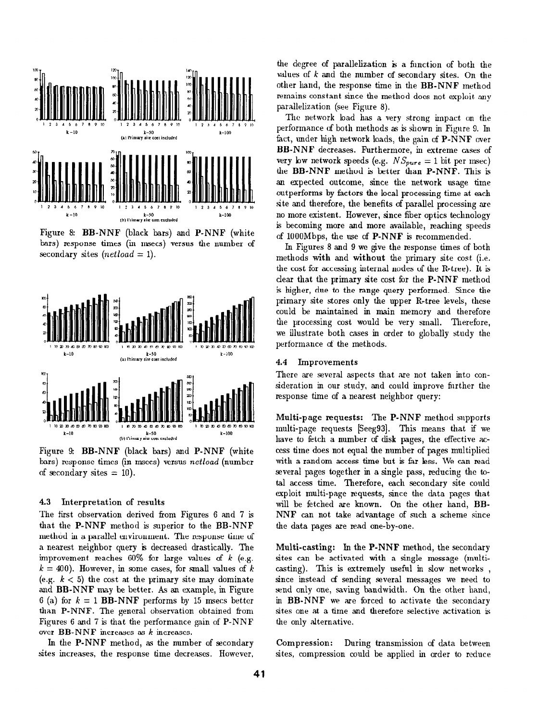

Figure 8: BB-NNF (black bars) and P-NNF (white bars) response times (in msecs) versus the number of secondary sites  $(neltoad = 1)$ .



Figure 9: BB-NNF (black bars) and P-NNF (white bars) response times (in msecs) versus netload (number of secondary sites  $= 10$ .

#### 4.3 Interpretation of results

The first observation derived from Figures G and 7 is that the  $P\text{-}NNF$  method is superior to the BB-NNF method in a parallel euvironment. The response time of a nearest neighbor query is decreased drastically. The improvement reaches  $60\%$  for large values of k (e.g.  $k = 400$ . However, in some cases, for small values of k (e.g.  $k < 5$ ) the cost at the primary site may dominate 'and BB-NNF may be better. As an example, in Figure 6 (a) for  $k = 1$  BB-NNF performs by 15 msecs better than P-NNF. The general observation obtained from Figures G and 7 is that the performance gain of P-NNF

over BB-NNF increases as *k* increases.<br>In the P-NNF method, as the number of secondary sites increases, the response time decreases. However, sites, compression could be applied in order to reduce

the degree of parallelization is a function of both the values of  $k$  and the number of secondary sites. On the other hand, the response time in the BB-NNF method remains constant since the method does not exploit any parallelization (see Figure 8).

The network load has a very strong impact on the performance of both methods as is shown in Figure 9. In fact, under high network loads, the gain of P-NNF over BB-NNF decreases. Furthermore, in extreme cases of very low network speeds (e.g.  $NS_{pure} = 1$  bit per msec) the BB-NNF method is better than P-NNF. This is au expected outcome, since the network usage time outperforms by factors the local processing time at each site and therefore, the benefits of parallel processing arc no more existent. However, since fiber optics technology is becoming more and more available, reaching speeds of 1000Mbps, the use of P-NNF is recommended.

In Figures 8 and 9 WC give the response times of both methods with and without the primary site cost (i.e. the cost for accessing internal nodes of the Rrtree). It is clear that the primary site cost for the P-NNF method is higher, due to the range query performed. Since the primary site stores only the upper R-tree levels, these could be maintained in main memory and therefore the processing cost would be very small. Therefore, we illustrate both cases in order to globally study the performance of the methods.

#### 4.4 Improvements

There are several aspects that are not taken into consideration in our study, and could improve further the response time of a nearest neighbor query:

Multi-page requests: The P-NNF method supports multi-page requests [Seeg93]. This means that if we have to fetch a number of disk pages, the effective access time does not equal the number of pages multiplied with a random access time but is far less. We can read several pages together in a single pass, reducing the total access time. Therefore, each secondary site could exploit multi-page requests, since the data pages that. will be fetched are known. On the other hand, BB-NNF can not take advantage of such a scheme since the data pages are read one-by-one.

Multi-casting: In the P-NNF method, the secondary sites can be activated with a single message (multicasting). This is extremely useful in slow networks , since instead of sending several messages we need to send only one, saving bandwidth. On the other hand, in BB-NNF we are forced to activate the secondary sites one at a time and therefore selective activation is the only alternative.

Compression: During transmission of data between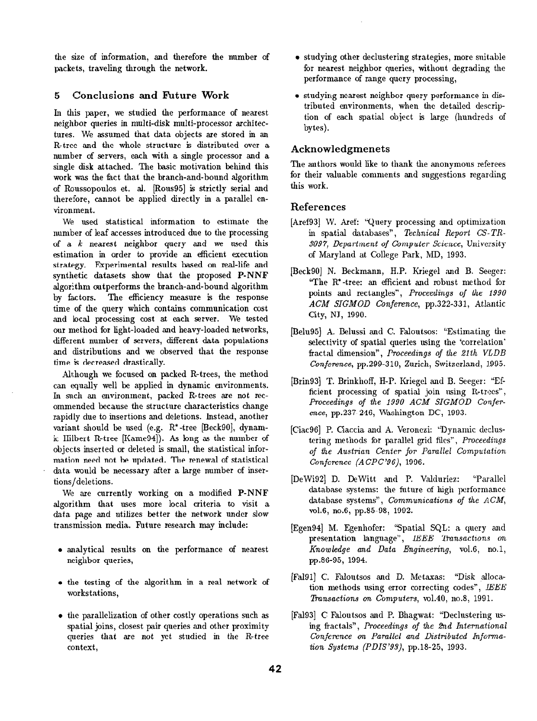the size of information, and therefore the number of packets, traveling through the network.

### 5 Conclusions and Future Work

In this paper, we studied the performance of nearest neighbor queries in multi-disk multi-processor architectures. We assumed that data objects are stored in an R-tree and the whole structure is distributed over a number of servers, each with a single processor and a single disk attached. The basic motivation behind this work was the fhct that the branch-and-bound algorithm of Roussopoulos et. al. [Rous95] is strictly serial and therefore, cannot be applied directly in a parallel environment.

We used statistical information to estimate the number of leaf accesses introduced due to the processing of a k nearest neighbor query and we used this estimation in order to provide an efficient execution strategy. Experimental results based on real-life and synthetic datasets show that the proposed P-NNF algorithm outperforms the branch-and-bound algorithm by factors. The efficiency measure is the response time of the query which contains communication cost and local processing cost at each server. We tested our method for light-loaded and heavy-loaded networks, different number of servers, different data populations and distributions and we observed that the response time is decreased drastically.

Although we focused on packed R-trees, the method can equally well be applied in dynamic environments. In such an environment, packed R-trees are not recommended because the structure characteristics change rapidly due to insertions and deletions. Instead, another variant should be used (e.g.  $R^*$ -tree [Beck90], dynamic Hilbert R-tree [Kame94]). As long as the number of objects inserted or deleted is small, the statistical information need not be updated. The renewal of statistical data would be necessary after a large number of insertions/deletions.

We are currently working on a modified P-NNF algorithm that uses more local criteria to visit a data page and utilizes better the network under slow transmission media. Future research may include:

- 0 analytical results on the performance of nearest neighbor queries,
- the testing of the algorithm in a real network of workstations,
- $\bullet$  the parallelization of other costly operations such as spatial joins, closest pair queries and other proximity queries that are not yet studied in the R-tree context,
- $\bullet$  studying other declustering strategies, more suitable for nearest neighbor queries, without degrading the performance of range query processing,
- studying nearest neighbor query performance in distributed environments, when the detailed description of each spatial object is large (hundreds of bytes).

### Acknowledgmenets

The authors would like to thank the anonymous referees for their valuable comments and suggestions regarding this work.

# References

- [Aref93] IV. Aref: 'Q uery processing and optimization in spatial databases", Technical Repori CS- TR-3097, Department of Computer Science, University of Maryland at College Park, MD, 1993.
- [Beck90] N. Beckmann, H.P. Kriegel and B. Seeger: "The R\*-tree: an efhcient and robust method for points and rectangles", Proceedings of the 1990 ACM SIGMOD Conference, pp.322-331, Atlantic City, NJ, 1990.
- [Belu95] A. Belussi and C. Faloutsos: "Estimating the selectivity of spatial queries using the 'correlation' fractal dimension", Proceedings of the 21th VLDB Conference, pp.299-310, Zurich, Switzerland, 1995.
- [Brin93] T. Brinkhoff, H-P. Kriegel and B. Seeger: "Efficient processing of spatial join using R-trees", Proceedings of the 1990 ACM SIGMOD Conference, pp.237-246, Washington DC, 1993.
- [Ciac96] P. Ciaccia and A. Veronczi: 'Dynamic declustcring methods for parallel grid files", Proceedings of the Austrian Center for Parallel Computation Conference  $(ACPC'96)$ , 1996.
- [DeWi92] D. DeWitt and P. Valduriez: "Parallel database systems: the future of high performance database systems", Communications of the ACM, ~01.6, no.6, pp.85-98, 1992.
- [Egen94] M. Egenhofer: 'Spatial SQL: a query and presentation language", IEEE Transactions on Knowledge and Data Engineering, vol.6, no.1, pp.86-95, 1994.
- [Fa191] C. Faloutsos and D. Metaxas: "Disk allocation methods using error correcting codes", IEEE Transactions on Computers, vol.40, no.8, 1991.
- [Fal93] C Ealoutsos and P. Bhagwat: "Declustering using fiactals", Proceedings of the 2ad International Conference on Parallel and Distributed Informalion Systems (PDIS'93), pp.18-25, 1993.